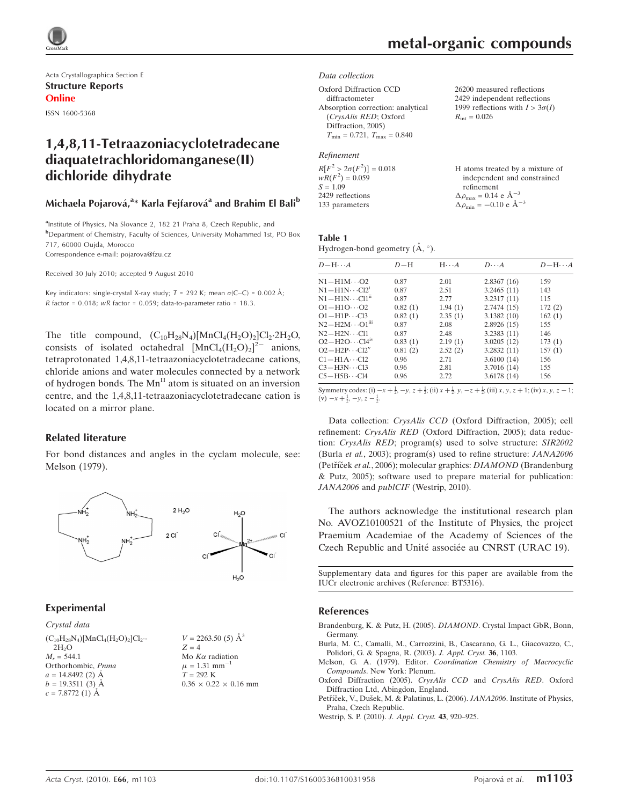

Acta Crystallographica Section E Structure Reports Online

ISSN 1600-5368

## 1,4,8,11-Tetraazoniacyclotetradecane diaquatetrachloridomanganese(II) dichloride dihydrate

#### Michaela Pojarová,<sup>a</sup>\* Karla Fejfarová<sup>a</sup> and Brahim El Bali<sup>b</sup>

<sup>a</sup>Institute of Physics, Na Slovance 2, 182 21 Praha 8, Czech Republic, and b Department of Chemistry, Faculty of Sciences, University Mohammed 1st, PO Box 717, 60000 Oujda, Morocco Correspondence e-mail: pojarova@fzu.cz

Received 30 July 2010; accepted 9 August 2010

Key indicators: single-crystal X-ray study;  $T = 292$  K; mean  $\sigma$ (C–C) = 0.002 Å; R factor =  $0.018$ ; wR factor =  $0.059$ ; data-to-parameter ratio =  $18.3$ .

The title compound,  $(C_{10}H_{28}N_4)[MnCl_4(H_2O)_2]Cl_2.2H_2O$ , consists of isolated octahedral  $[MnCl_4(H_2O)_2]^{2-}$  anions, tetraprotonated 1,4,8,11-tetraazoniacyclotetradecane cations, chloride anions and water molecules connected by a network of hydrogen bonds. The  $Mn^{\text{II}}$  atom is situated on an inversion centre, and the 1,4,8,11-tetraazoniacyclotetradecane cation is located on a mirror plane.

#### Related literature

For bond distances and angles in the cyclam molecule, see: Melson (1979).



#### Experimental

Crystal data  $(C_{10}H_{28}N_4)[MnCl_4(H_2O)_2]Cl_2$ .  $2H<sub>2</sub>O$  $M_r = 544.1$ Orthorhombic, Pnma  $a = 14.8492$  (2) Å  $b = 19.3511(3)$  Å  $c = 7.8772(1)$  Å

 $V = 2263.50(5)$   $\AA^3$  $Z = 4$ Mo  $K\alpha$  radiation  $\mu = 1.31$  mm<sup>-1</sup>  $T = 292 \text{ K}$  $0.36 \times 0.22 \times 0.16$  mm  $R_{\text{int}} = 0.026$ 

26200 measured reflections 2429 independent reflections 1999 reflections with  $I > 3\sigma(I)$ 

#### Data collection

Oxford Diffraction CCD

```
diffractometer
Absorption correction: analytical
  (CrysAlis RED; Oxford
  Diffraction, 2005)
  T_{\text{min}} = 0.721, T_{\text{max}} = 0.840
```
#### Refinement

| $R[F^2 > 2\sigma(F^2)] = 0.018$ | H atoms treated by a mixture of                     |
|---------------------------------|-----------------------------------------------------|
| $wR(F^2) = 0.059$               | independent and constrained                         |
| $S = 1.09$                      | refinement                                          |
| 2429 reflections                | $\Delta \rho_{\text{max}} = 0.14 \text{ e A}^{-3}$  |
| 133 parameters                  | $\Delta \rho_{\text{min}} = -0.10 \text{ e A}^{-3}$ |

## Table 1

Hydrogen-bond geometry  $(A, \degree)$ .

| $D - H \cdots A$             | $D-H$   | $H \cdots A$ | $D\cdots A$ | $D - H \cdots A$ |
|------------------------------|---------|--------------|-------------|------------------|
| $N1 - H1M \cdots O2$         | 0.87    | 2.01         | 2.8367(16)  | 159              |
| $N1 - H1N \cdots C12$        | 0.87    | 2.51         | 3.2465(11)  | 143              |
| $\rm N1\!-\!H1N\cdots Cl1^n$ | 0.87    | 2.77         | 3.2317(11)  | 115              |
| $O1 - H1O \cdots O2$         | 0.82(1) | 1.94(1)      | 2.7474(15)  | 172(2)           |
| $O1 - H1P \cdots C13$        | 0.82(1) | 2.35(1)      | 3.1382(10)  | 162(1)           |
| $N2 - H2M \cdots O1m$        | 0.87    | 2.08         | 2.8926(15)  | 155              |
| $N2 - H2N \cdots C11$        | 0.87    | 2.48         | 3.2383(11)  | 146              |
| $O2 - H2O \cdots Cl4IV$      | 0.83(1) | 2.19(1)      | 3.0205(12)  | 173(1)           |
| $O2 - H2P \cdots Cl2^v$      | 0.81(2) | 2.52(2)      | 3.2832(11)  | 157(1)           |
| $C1 - H1A \cdots C12$        | 0.96    | 2.71         | 3.6100(14)  | 156              |
| $C3 - H3N \cdots C13$        | 0.96    | 2.81         | 3.7016 (14) | 155              |
| $C5 - H5B \cdots C14$        | 0.96    | 2.72         | 3.6178(14)  | 156              |

Symmetry codes: (i)  $-x + \frac{1}{2}$ ,  $-y$ ,  $z + \frac{1}{2}$ ; (ii)  $x + \frac{1}{2}$ ,  $y$ ,  $-z + \frac{1}{2}$ ; (iii)  $x$ ,  $y$ ,  $z + 1$ ; (iv)  $x$ ,  $y$ ,  $z - 1$ ;  $(v)$   $-x + \frac{1}{2}, -y, z - \frac{1}{2}$ .

Data collection: CrysAlis CCD (Oxford Diffraction, 2005); cell refinement: CrysAlis RED (Oxford Diffraction, 2005); data reduction: CrysAlis RED; program(s) used to solve structure: SIR2002 (Burla et al., 2003); program(s) used to refine structure: JANA2006 (Petříček et al., 2006); molecular graphics: DIAMOND (Brandenburg & Putz, 2005); software used to prepare material for publication: JANA2006 and *publCIF* (Westrip, 2010).

The authors acknowledge the institutional research plan No. AVOZ10100521 of the Institute of Physics, the project Praemium Academiae of the Academy of Sciences of the Czech Republic and Unité associée au CNRST (URAC 19).

Supplementary data and figures for this paper are available from the IUCr electronic archives (Reference: BT5316).

#### References

[Brandenburg, K. & Putz, H. \(2005\).](https://scripts.iucr.org/cgi-bin/cr.cgi?rm=pdfbb&cnor=bt5316&bbid=BB1) DIAMOND. Crystal Impact GbR, Bonn, [Germany.](https://scripts.iucr.org/cgi-bin/cr.cgi?rm=pdfbb&cnor=bt5316&bbid=BB1)

[Burla, M. C., Camalli, M., Carrozzini, B., Cascarano, G. L., Giacovazzo, C.,](https://scripts.iucr.org/cgi-bin/cr.cgi?rm=pdfbb&cnor=bt5316&bbid=BB2) [Polidori, G. & Spagna, R. \(2003\).](https://scripts.iucr.org/cgi-bin/cr.cgi?rm=pdfbb&cnor=bt5316&bbid=BB2) J. Appl. Cryst. 36, 1103.

Melson, G. A. (1979). Editor. [Coordination Chemistry of Macrocyclic](https://scripts.iucr.org/cgi-bin/cr.cgi?rm=pdfbb&cnor=bt5316&bbid=BB3) Compounds[. New York: Plenum.](https://scripts.iucr.org/cgi-bin/cr.cgi?rm=pdfbb&cnor=bt5316&bbid=BB3)

[Oxford Diffraction \(2005\).](https://scripts.iucr.org/cgi-bin/cr.cgi?rm=pdfbb&cnor=bt5316&bbid=BB4) CrysAlis CCD and CrysAlis RED. Oxford [Diffraction Ltd, Abingdon, England.](https://scripts.iucr.org/cgi-bin/cr.cgi?rm=pdfbb&cnor=bt5316&bbid=BB4)

Petříček, V., Dušek, M. & Palatinus, L. (2006). JANA2006. Institute of Physics, [Praha, Czech Republic.](https://scripts.iucr.org/cgi-bin/cr.cgi?rm=pdfbb&cnor=bt5316&bbid=BB5)

[Westrip, S. P. \(2010\).](https://scripts.iucr.org/cgi-bin/cr.cgi?rm=pdfbb&cnor=bt5316&bbid=BB6) J. Appl. Cryst. 43, 920–925.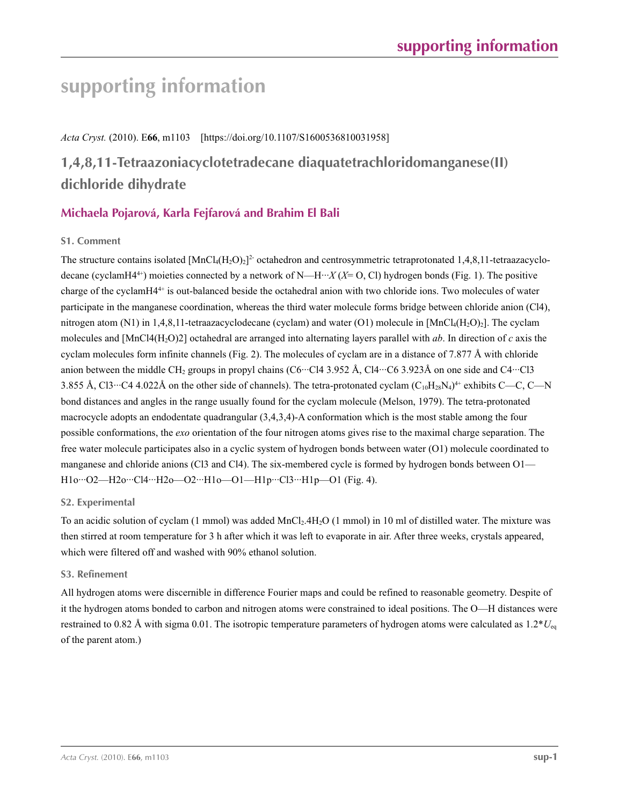# **supporting information**

*Acta Cryst.* (2010). E**66**, m1103 [https://doi.org/10.1107/S1600536810031958]

## **1,4,8,11-Tetraazoniacyclotetradecane diaquatetrachloridomanganese(II) dichloride dihydrate**

## **Michaela Pojarová, Karla Fejfarová and Brahim El Bali**

### **S1. Comment**

The structure contains isolated  $[MnCl<sub>4</sub>(H<sub>2</sub>O)<sub>2</sub>]<sup>2</sup>$  octahedron and centrosymmetric tetraprotonated 1,4,8,11-tetraazacyclodecane (cyclamH4<sup>4+</sup>) moieties connected by a network of N—H···*X* (*X*= O, Cl) hydrogen bonds (Fig. 1). The positive charge of the cyclamH44+ is out-balanced beside the octahedral anion with two chloride ions. Two molecules of water participate in the manganese coordination, whereas the third water molecule forms bridge between chloride anion (Cl4), nitrogen atom (N1) in 1,4,8,11-tetraazacyclodecane (cyclam) and water (O1) molecule in  $[MnCl_4(H_2O)_2]$ . The cyclam molecules and [MnCl4(H2O)2] octahedral are arranged into alternating layers parallel with *ab*. In direction of *c* axis the cyclam molecules form infinite channels (Fig. 2). The molecules of cyclam are in a distance of 7.877 Å with chloride anion between the middle CH<sub>2</sub> groups in propyl chains (C6···Cl4 3.952 Å, Cl4···C6 3.923Å on one side and C4···Cl3 3.855 Å, Cl3…C4 4.022Å on the other side of channels). The tetra-protonated cyclam  $(C_{10}H_{28}N_4)^4$ <sup>+</sup> exhibits C—C, C—N bond distances and angles in the range usually found for the cyclam molecule (Melson, 1979). The tetra-protonated macrocycle adopts an endodentate quadrangular (3,4,3,4)-A conformation which is the most stable among the four possible conformations, the *exo* orientation of the four nitrogen atoms gives rise to the maximal charge separation. The free water molecule participates also in a cyclic system of hydrogen bonds between water (O1) molecule coordinated to manganese and chloride anions (Cl3 and Cl4). The six-membered cycle is formed by hydrogen bonds between O1— H1o···O2—H2o···Cl4···H2o—O2···H1o—O1—H1p···Cl3···H1p—O1 (Fig. 4).

#### **S2. Experimental**

To an acidic solution of cyclam (1 mmol) was added MnCl<sub>2</sub>.4H<sub>2</sub>O (1 mmol) in 10 ml of distilled water. The mixture was then stirred at room temperature for 3 h after which it was left to evaporate in air. After three weeks, crystals appeared, which were filtered off and washed with 90% ethanol solution.

#### **S3. Refinement**

All hydrogen atoms were discernible in difference Fourier maps and could be refined to reasonable geometry. Despite of it the hydrogen atoms bonded to carbon and nitrogen atoms were constrained to ideal positions. The O—H distances were restrained to 0.82 Å with sigma 0.01. The isotropic temperature parameters of hydrogen atoms were calculated as  $1.2*U_{eq}$ of the parent atom.)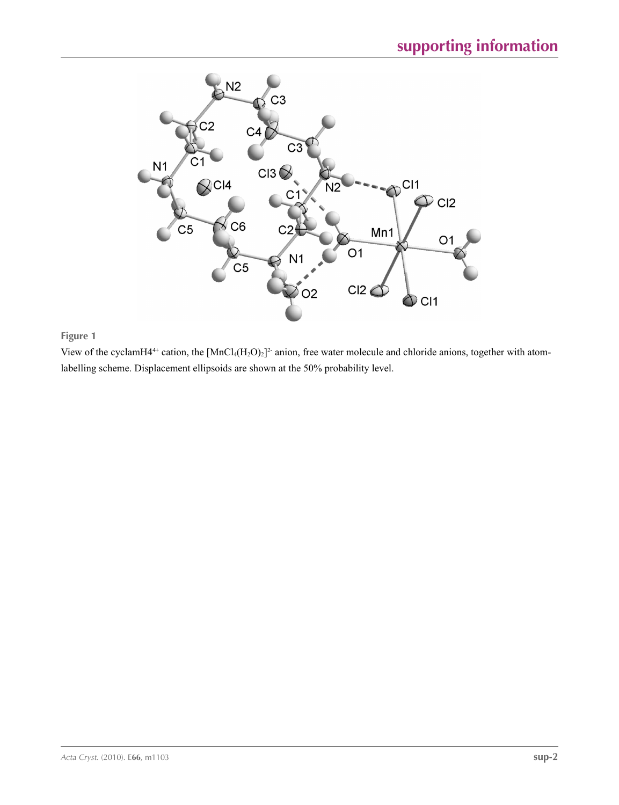

### **Figure 1**

View of the cyclamH4<sup>4+</sup> cation, the  $[MnCl_4(H_2O)_2]^2$ <sup>-</sup> anion, free water molecule and chloride anions, together with atomlabelling scheme. Displacement ellipsoids are shown at the 50% probability level.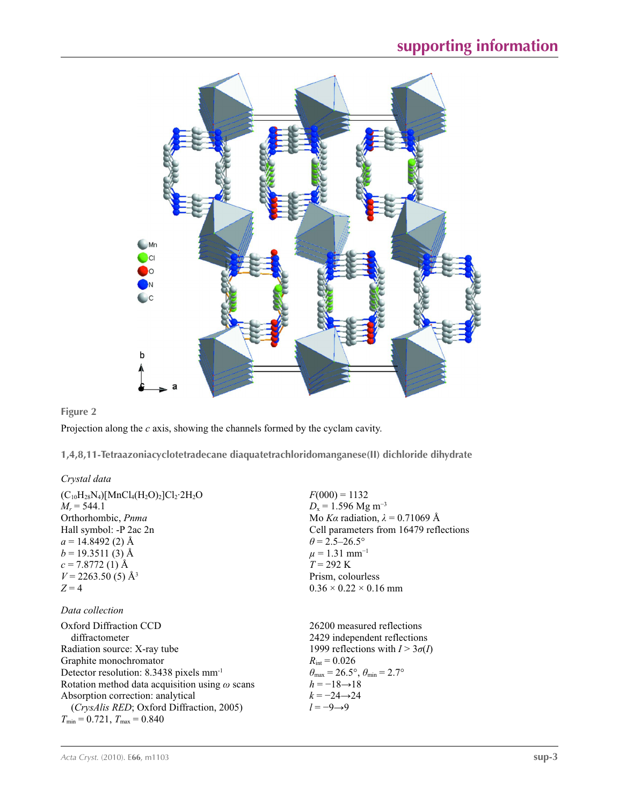

### **Figure 2**

Projection along the *c* axis, showing the channels formed by the cyclam cavity.

**1,4,8,11-Tetraazoniacyclotetradecane diaquatetrachloridomanganese(II) dichloride dihydrate** 

#### *Crystal data*

| $(C_{10}H_{28}N_4)[MnCl_4(H_2O)_2]Cl_2·2H_2O$         | $F(000) = 1132$                                                         |
|-------------------------------------------------------|-------------------------------------------------------------------------|
| $M_r = 544.1$                                         | $D_x = 1.596$ Mg m <sup>-3</sup>                                        |
| Orthorhombic, <i>Pnma</i>                             | Mo Ka radiation, $\lambda = 0.71069$ Å                                  |
| Hall symbol: -P 2ac 2n                                | Cell parameters from 16479 reflections                                  |
| $a = 14.8492(2)$ Å                                    | $\theta$ = 2.5–26.5°                                                    |
| $b = 19.3511(3)$ Å                                    | $\mu = 1.31$ mm <sup>-1</sup>                                           |
| $c = 7.8772(1)$ Å                                     | $T = 292 \text{ K}$                                                     |
| $V = 2263.50(5)$ Å <sup>3</sup>                       | Prism, colourless                                                       |
| $Z=4$                                                 | $0.36 \times 0.22 \times 0.16$ mm                                       |
| Data collection                                       |                                                                         |
| Oxford Diffraction CCD                                | 26200 measured reflections                                              |
| diffractometer                                        | 2429 independent reflections                                            |
| Radiation source: X-ray tube                          | 1999 reflections with $I > 3\sigma(I)$                                  |
| Graphite monochromator                                | $R_{\text{int}} = 0.026$                                                |
| Detector resolution: $8.3438$ pixels mm <sup>-1</sup> | $\theta_{\text{max}} = 26.5^{\circ}, \theta_{\text{min}} = 2.7^{\circ}$ |
| Rotation method data acquisition using $\omega$ scans | $h = -18 \rightarrow 18$                                                |
| Absorption correction: analytical                     | $k = -24 \rightarrow 24$                                                |
| <i>(CrysAlis RED</i> ; Oxford Diffraction, 2005)      | $l = -9 \rightarrow 9$                                                  |
| $T_{\min}$ = 0.721, $T_{\max}$ = 0.840                |                                                                         |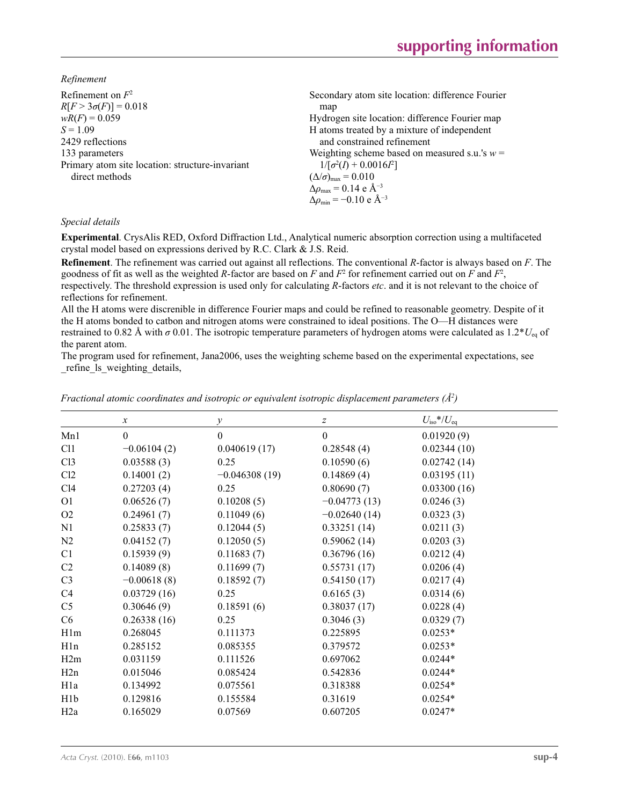*Refinement*

| Refinement on $F^2$                             | Secondary atom site location: difference Fourier         |
|-------------------------------------------------|----------------------------------------------------------|
| $R[F > 3\sigma(F)] = 0.018$                     | map                                                      |
| $wR(F) = 0.059$                                 | Hydrogen site location: difference Fourier map           |
| $S = 1.09$                                      | H atoms treated by a mixture of independent              |
| 2429 reflections                                | and constrained refinement                               |
| 133 parameters                                  | Weighting scheme based on measured s.u.'s $w =$          |
| Primary atom site location: structure-invariant | $1/[\sigma^2(I) + 0.0016I^2]$                            |
| direct methods                                  | $(\Delta/\sigma)_{\text{max}} = 0.010$                   |
|                                                 | $\Delta\rho_{\rm max} = 0.14 \text{ e } \text{\AA}^{-3}$ |
|                                                 | $\Delta\rho_{\rm min} = -0.10 \text{ e A}^{-3}$          |
|                                                 |                                                          |

#### *Special details*

**Experimental**. CrysAlis RED, Oxford Diffraction Ltd., Analytical numeric absorption correction using a multifaceted crystal model based on expressions derived by R.C. Clark & J.S. Reid.

**Refinement**. The refinement was carried out against all reflections. The conventional *R*-factor is always based on *F*. The goodness of fit as well as the weighted *R*-factor are based on *F* and  $F^2$  for refinement carried out on *F* and  $F^2$ , respectively. The threshold expression is used only for calculating *R*-factors *etc*. and it is not relevant to the choice of reflections for refinement.

All the H atoms were discrenible in difference Fourier maps and could be refined to reasonable geometry. Despite of it the H atoms bonded to catbon and nitrogen atoms were constrained to ideal positions. The O—H distances were restrained to 0.82 Å with  $\sigma$  0.01. The isotropic temperature parameters of hydrogen atoms were calculated as 1.2<sup>\*</sup>*U*<sub>eq</sub> of the parent atom.

The program used for refinement, Jana2006, uses the weighting scheme based on the experimental expectations, see \_refine\_ls\_weighting\_details,

| $\mathcal{X}$ | $\mathcal{Y}$   | z              | $U_{\rm iso}*/U_{\rm eq}$ |
|---------------|-----------------|----------------|---------------------------|
| $\theta$      | $\mathbf{0}$    | $\theta$       | 0.01920(9)                |
| $-0.06104(2)$ | 0.040619(17)    | 0.28548(4)     | 0.02344(10)               |
| 0.03588(3)    | 0.25            | 0.10590(6)     | 0.02742(14)               |
| 0.14001(2)    | $-0.046308(19)$ | 0.14869(4)     | 0.03195(11)               |
| 0.27203(4)    | 0.25            | 0.80690(7)     | 0.03300(16)               |
| 0.06526(7)    | 0.10208(5)      | $-0.04773(13)$ | 0.0246(3)                 |
| 0.24961(7)    | 0.11049(6)      | $-0.02640(14)$ | 0.0323(3)                 |
| 0.25833(7)    | 0.12044(5)      | 0.33251(14)    | 0.0211(3)                 |
| 0.04152(7)    | 0.12050(5)      | 0.59062(14)    | 0.0203(3)                 |
| 0.15939(9)    | 0.11683(7)      | 0.36796(16)    | 0.0212(4)                 |
| 0.14089(8)    | 0.11699(7)      | 0.55731(17)    | 0.0206(4)                 |
| $-0.00618(8)$ | 0.18592(7)      | 0.54150(17)    | 0.0217(4)                 |
| 0.03729(16)   | 0.25            | 0.6165(3)      | 0.0314(6)                 |
| 0.30646(9)    | 0.18591(6)      | 0.38037(17)    | 0.0228(4)                 |
| 0.26338(16)   | 0.25            | 0.3046(3)      | 0.0329(7)                 |
| 0.268045      | 0.111373        | 0.225895       | $0.0253*$                 |
| 0.285152      | 0.085355        | 0.379572       | $0.0253*$                 |
| 0.031159      | 0.111526        | 0.697062       | $0.0244*$                 |
| 0.015046      | 0.085424        | 0.542836       | $0.0244*$                 |
| 0.134992      | 0.075561        | 0.318388       | $0.0254*$                 |
| 0.129816      | 0.155584        | 0.31619        | $0.0254*$                 |
| 0.165029      | 0.07569         | 0.607205       | $0.0247*$                 |
|               |                 |                |                           |

*Fractional atomic coordinates and isotropic or equivalent isotropic displacement parameters (Å<sup>2</sup>)*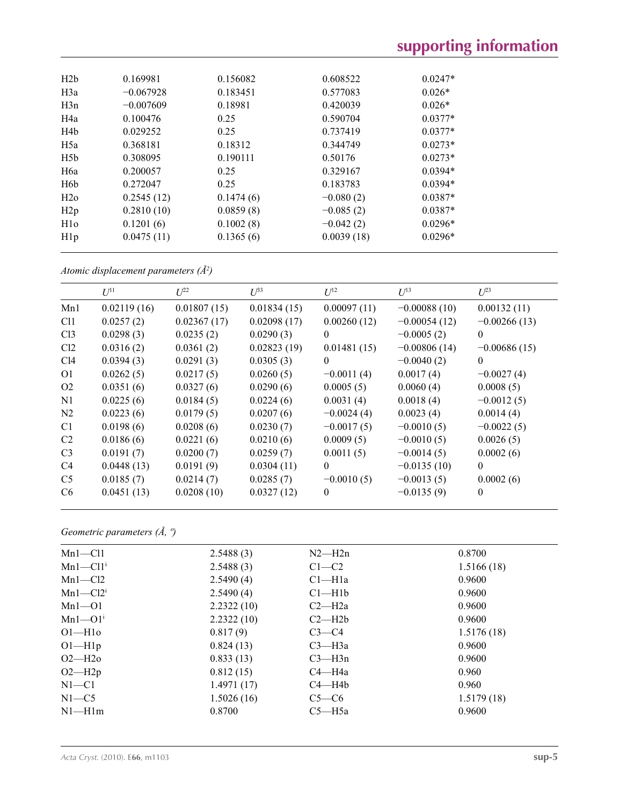| H2b              | 0.169981    | 0.156082  | 0.608522    | $0.0247*$ |
|------------------|-------------|-----------|-------------|-----------|
| H <sub>3</sub> a | $-0.067928$ | 0.183451  | 0.577083    | $0.026*$  |
| H3n              | $-0.007609$ | 0.18981   | 0.420039    | $0.026*$  |
| H <sub>4</sub> a | 0.100476    | 0.25      | 0.590704    | $0.0377*$ |
| H <sub>4</sub> b | 0.029252    | 0.25      | 0.737419    | $0.0377*$ |
| H <sub>5a</sub>  | 0.368181    | 0.18312   | 0.344749    | $0.0273*$ |
| H5b              | 0.308095    | 0.190111  | 0.50176     | $0.0273*$ |
| H6a              | 0.200057    | 0.25      | 0.329167    | $0.0394*$ |
| H <sub>6</sub> b | 0.272047    | 0.25      | 0.183783    | $0.0394*$ |
| H2o              | 0.2545(12)  | 0.1474(6) | $-0.080(2)$ | $0.0387*$ |
| H2p              | 0.2810(10)  | 0.0859(8) | $-0.085(2)$ | $0.0387*$ |
| H1 <sub>o</sub>  | 0.1201(6)   | 0.1002(8) | $-0.042(2)$ | $0.0296*$ |
| H1p              | 0.0475(11)  | 0.1365(6) | 0.0039(18)  | $0.0296*$ |
|                  |             |           |             |           |

*Atomic displacement parameters (Å2 )*

|                 | $U^{11}$    | $U^{22}$    | $\mathcal{L}^{\beta 3}$ | $U^{12}$     | $U^{13}$       | $U^{23}$       |
|-----------------|-------------|-------------|-------------------------|--------------|----------------|----------------|
| Mn1             | 0.02119(16) | 0.01807(15) | 0.01834(15)             | 0.00097(11)  | $-0.00088(10)$ | 0.00132(11)    |
| Cl1             | 0.0257(2)   | 0.02367(17) | 0.02098(17)             | 0.00260(12)  | $-0.00054(12)$ | $-0.00266(13)$ |
| Cl <sub>3</sub> | 0.0298(3)   | 0.0235(2)   | 0.0290(3)               | $\theta$     | $-0.0005(2)$   | $\Omega$       |
| Cl2             | 0.0316(2)   | 0.0361(2)   | 0.02823(19)             | 0.01481(15)  | $-0.00806(14)$ | $-0.00686(15)$ |
| C14             | 0.0394(3)   | 0.0291(3)   | 0.0305(3)               | $\theta$     | $-0.0040(2)$   | $\Omega$       |
| O <sub>1</sub>  | 0.0262(5)   | 0.0217(5)   | 0.0260(5)               | $-0.0011(4)$ | 0.0017(4)      | $-0.0027(4)$   |
| O <sub>2</sub>  | 0.0351(6)   | 0.0327(6)   | 0.0290(6)               | 0.0005(5)    | 0.0060(4)      | 0.0008(5)      |
| N1              | 0.0225(6)   | 0.0184(5)   | 0.0224(6)               | 0.0031(4)    | 0.0018(4)      | $-0.0012(5)$   |
| N2              | 0.0223(6)   | 0.0179(5)   | 0.0207(6)               | $-0.0024(4)$ | 0.0023(4)      | 0.0014(4)      |
| C <sub>1</sub>  | 0.0198(6)   | 0.0208(6)   | 0.0230(7)               | $-0.0017(5)$ | $-0.0010(5)$   | $-0.0022(5)$   |
| C <sub>2</sub>  | 0.0186(6)   | 0.0221(6)   | 0.0210(6)               | 0.0009(5)    | $-0.0010(5)$   | 0.0026(5)      |
| C <sub>3</sub>  | 0.0191(7)   | 0.0200(7)   | 0.0259(7)               | 0.0011(5)    | $-0.0014(5)$   | 0.0002(6)      |
| C <sub>4</sub>  | 0.0448(13)  | 0.0191(9)   | 0.0304(11)              | $\theta$     | $-0.0135(10)$  | $\Omega$       |
| C <sub>5</sub>  | 0.0185(7)   | 0.0214(7)   | 0.0285(7)               | $-0.0010(5)$ | $-0.0013(5)$   | 0.0002(6)      |
| C <sub>6</sub>  | 0.0451(13)  | 0.0208(10)  | 0.0327(12)              | $\theta$     | $-0.0135(9)$   | 0              |
|                 |             |             |                         |              |                |                |

*Geometric parameters (Å, º)*

| $Mn1 - Cl1$             | 2.5488(3)  | $N2-H2n$           | 0.8700     |
|-------------------------|------------|--------------------|------------|
| $Mn1-C11$ <sup>i</sup>  | 2.5488(3)  | $C1-C2$            | 1.5166(18) |
| $Mn1-C12$               | 2.5490(4)  | Cl <sub>–H1a</sub> | 0.9600     |
| $Mn1-Cl2i$              | 2.5490(4)  | $Cl-H1b$           | 0.9600     |
| $Mn1 - 01$              | 2.2322(10) | $C2-H2a$           | 0.9600     |
| $Mn1 - O1$ <sup>i</sup> | 2.2322(10) | $C2-H2b$           | 0.9600     |
| $O1-H10$                | 0.817(9)   | $C3-C4$            | 1.5176(18) |
| $O1-H1p$                | 0.824(13)  | $C3 - H3a$         | 0.9600     |
| $O2-H2o$                | 0.833(13)  | $C3 - H3n$         | 0.9600     |
| $O2-H2p$                | 0.812(15)  | $C4 - H4a$         | 0.960      |
| $N1 - C1$               | 1.4971(17) | $C4 - H4b$         | 0.960      |
| $N1 - C5$               | 1.5026(16) | $C5-C6$            | 1.5179(18) |
| $N1-H1m$                | 0.8700     | $C5 - H5a$         | 0.9600     |
|                         |            |                    |            |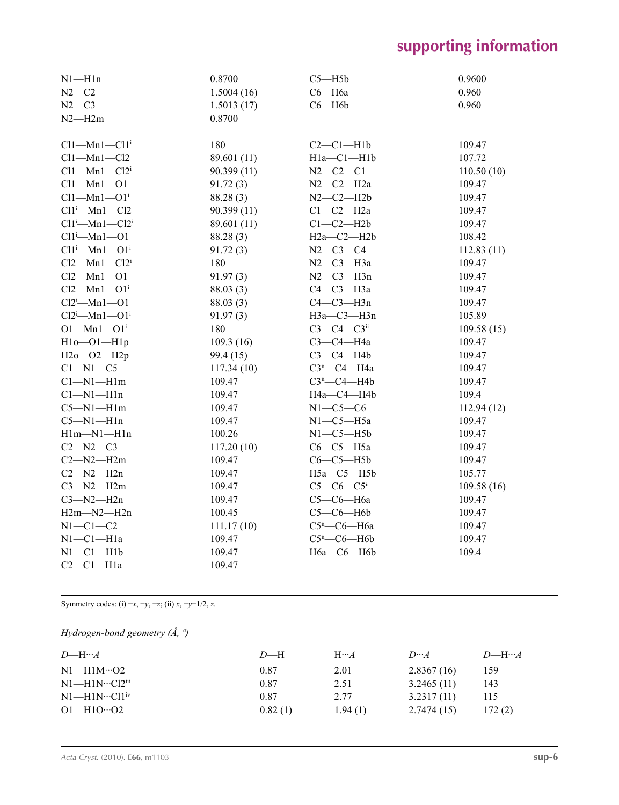# **supporting information**

| $N1 - H1n$                   | 0.8700      | $C5 - H5b$                   | 0.9600     |
|------------------------------|-------------|------------------------------|------------|
| $N2-C2$                      | 1.5004(16)  | С6—Н6а                       | 0.960      |
| $N2-C3$                      | 1.5013(17)  | $C6 - H6b$                   | 0.960      |
| $N2 - H2m$                   | 0.8700      |                              |            |
|                              |             |                              |            |
| $Cl1-Mn1-Cl1i$               | 180         | $C2-C1-H1b$                  | 109.47     |
| $Cl1-Mn1-Cl2$                | 89.601 (11) | H1a-C1-H1b                   | 107.72     |
| $Cl1-Mn1-Cl2i$               | 90.399(11)  | $N2 - C2 - C1$               | 110.50(10) |
| $Cl1-Mn1-O1$                 | 91.72(3)    | $N2-C2-H2a$                  | 109.47     |
| $Cl1-Mn1-O1i$                | 88.28 (3)   | $N2-C2-H2b$                  | 109.47     |
| $Cl1^i$ -Mn $1$ -Cl2         | 90.399 (11) | $C1-C2-H2a$                  | 109.47     |
| $Cl1^i$ -Mn $1$ - $Cl2^i$    | 89.601 (11) | $C1-C2-H2b$                  | 109.47     |
| $Cl1^i$ -Mn $1$ -O1          | 88.28 (3)   | $H2a-C2-H2b$                 | 108.42     |
| $Cl1^i$ —Mn $1$ —O $1^i$     | 91.72(3)    | $N2 - C3 - C4$               | 112.83(11) |
| $Cl2-Mn1-Cl2i$               | 180         | $N2-C3-H3a$                  | 109.47     |
| $Cl2-Mn1-O1$                 | 91.97(3)    | $N2-C3-H3n$                  | 109.47     |
| $Cl2-Mn1-O1i$                | 88.03(3)    | С4-С3-Н3а                    | 109.47     |
| $Cl2^i$ -Mn1--O1             | 88.03(3)    | $C4-C3-H3n$                  | 109.47     |
| $Cl2^i$ -Mn1- $O1^i$         | 91.97(3)    | H3a-C3-H3n                   | 105.89     |
| $O1 - Mn1 - O1$ <sup>i</sup> | 180         | $C3-C4-C3ii$                 | 109.58(15) |
| $H1o$ -O1- $H1p$             | 109.3(16)   | $C3-C4-H4a$                  | 109.47     |
| H2o-O2-H2p                   | 99.4 (15)   | $C3-C4-H4b$                  | 109.47     |
| $C1-M1-C5$                   | 117.34(10)  | СЗіі-С4-Н4а                  | 109.47     |
| $Cl-M1-H1m$                  | 109.47      | $C3ii$ - $C4$ -H4b           | 109.47     |
| $Cl-M1-H1n$                  | 109.47      | H4a-C4-H4b                   | 109.4      |
| $C5 - N1 - H1m$              | 109.47      | $N1-C5-C6$                   | 112.94(12) |
| $C5 - N1 - H1n$              | 109.47      | $N1-C5-H5a$                  | 109.47     |
| $H1m-M1-H1n$                 | 100.26      | $N1-C5-H5b$                  | 109.47     |
| $C2 - N2 - C3$               | 117.20(10)  | $C6-C5-H5a$                  | 109.47     |
| $C2 - N2 - H2m$              | 109.47      | $C6-C5-H5b$                  | 109.47     |
| $C2 - N2 - H2n$              | 109.47      | $H5a-C5-H5b$                 | 105.77     |
| $C3 - N2 - H2m$              | 109.47      | $C5-C6-C5$ ii                | 109.58(16) |
| $C3 - N2 - H2n$              | 109.47      | С5-С6-Н6а                    | 109.47     |
| $H2m-M2-H2n$                 | 100.45      | $C5-C6-H6b$                  | 109.47     |
| $N1-C1-C2$                   | 111.17(10)  | С5 <sup>ii</sup> —С6—Н6а     | 109.47     |
| $N1-C1-H1a$                  | 109.47      | $C5^{\text{ii}}$ - $C6$ -H6b | 109.47     |
| $N1-C1-H1b$                  | 109.47      | Нба-Сб-Нбb                   | 109.4      |
| $C2-C1-H1a$                  | 109.47      |                              |            |

Symmetry codes: (i) −*x*, −*y*, −*z*; (ii) *x*, −*y*+1/2, *z*.

### *Hydrogen-bond geometry (Å, º)*

| $D$ —H… $A$                         | $D$ —H  | $H \cdots A$ | $D \cdots A$ | $D$ —H… $A$ |
|-------------------------------------|---------|--------------|--------------|-------------|
| $N1-H1M\cdots O2$                   | 0.87    | 2.01         | 2.8367(16)   | 159         |
| $N1$ —H1 $N$ …Cl2 $\overline{u}$ ii | 0.87    | 2.51         | 3.2465(11)   | 143         |
| $N1$ —H1N…Cl1 <sup>iv</sup>         | 0.87    | 2.77         | 3.2317(11)   | 115         |
| $O1 - H10 \cdot O2$                 | 0.82(1) | 1.94(1)      | 2.7474(15)   | 172(2)      |